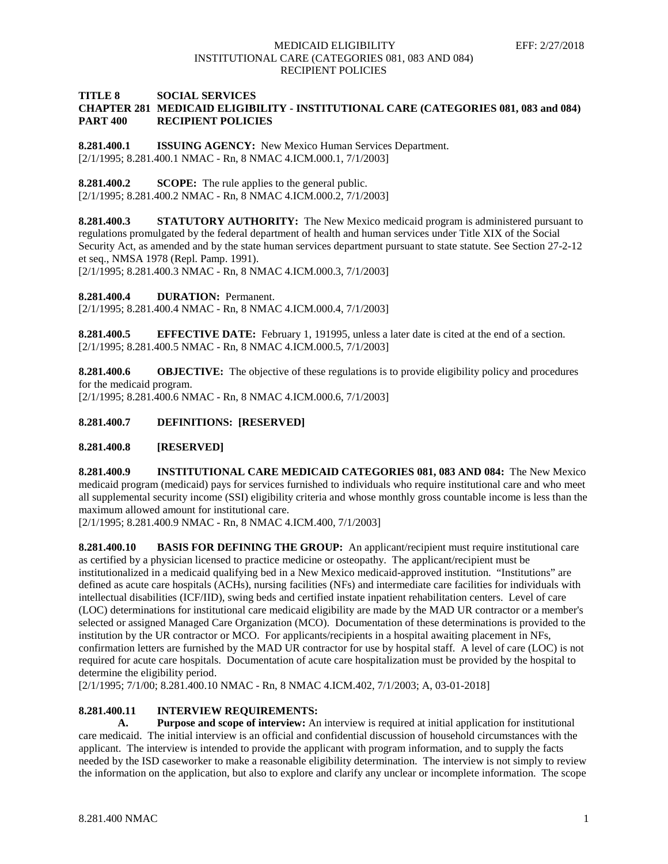### **TITLE 8 SOCIAL SERVICES CHAPTER 281 MEDICAID ELIGIBILITY - INSTITUTIONAL CARE (CATEGORIES 081, 083 and 084) PART 400 RECIPIENT POLICIES**

**8.281.400.1 ISSUING AGENCY:** New Mexico Human Services Department. [2/1/1995; 8.281.400.1 NMAC - Rn, 8 NMAC 4.ICM.000.1, 7/1/2003]

**8.281.400.2 SCOPE:** The rule applies to the general public.

[2/1/1995; 8.281.400.2 NMAC - Rn, 8 NMAC 4.ICM.000.2, 7/1/2003]

**8.281.400.3 STATUTORY AUTHORITY:** The New Mexico medicaid program is administered pursuant to regulations promulgated by the federal department of health and human services under Title XIX of the Social Security Act, as amended and by the state human services department pursuant to state statute. See Section 27-2-12 et seq., NMSA 1978 (Repl. Pamp. 1991).

[2/1/1995; 8.281.400.3 NMAC - Rn, 8 NMAC 4.ICM.000.3, 7/1/2003]

**8.281.400.4 DURATION:** Permanent.

[2/1/1995; 8.281.400.4 NMAC - Rn, 8 NMAC 4.ICM.000.4, 7/1/2003]

**8.281.400.5 EFFECTIVE DATE:** February 1, 191995, unless a later date is cited at the end of a section. [2/1/1995; 8.281.400.5 NMAC - Rn, 8 NMAC 4.ICM.000.5, 7/1/2003]

**8.281.400.6 OBJECTIVE:** The objective of these regulations is to provide eligibility policy and procedures for the medicaid program.

[2/1/1995; 8.281.400.6 NMAC - Rn, 8 NMAC 4.ICM.000.6, 7/1/2003]

# **8.281.400.7 DEFINITIONS: [RESERVED]**

**8.281.400.8 [RESERVED]**

**8.281.400.9 INSTITUTIONAL CARE MEDICAID CATEGORIES 081, 083 AND 084:** The New Mexico medicaid program (medicaid) pays for services furnished to individuals who require institutional care and who meet all supplemental security income (SSI) eligibility criteria and whose monthly gross countable income is less than the maximum allowed amount for institutional care.

[2/1/1995; 8.281.400.9 NMAC - Rn, 8 NMAC 4.ICM.400, 7/1/2003]

**8.281.400.10 BASIS FOR DEFINING THE GROUP:** An applicant/recipient must require institutional care as certified by a physician licensed to practice medicine or osteopathy. The applicant/recipient must be institutionalized in a medicaid qualifying bed in a New Mexico medicaid-approved institution. "Institutions" are defined as acute care hospitals (ACHs), nursing facilities (NFs) and intermediate care facilities for individuals with intellectual disabilities (ICF/IID), swing beds and certified instate inpatient rehabilitation centers. Level of care (LOC) determinations for institutional care medicaid eligibility are made by the MAD UR contractor or a member's selected or assigned Managed Care Organization (MCO). Documentation of these determinations is provided to the institution by the UR contractor or MCO. For applicants/recipients in a hospital awaiting placement in NFs, confirmation letters are furnished by the MAD UR contractor for use by hospital staff. A level of care (LOC) is not required for acute care hospitals. Documentation of acute care hospitalization must be provided by the hospital to determine the eligibility period.

[2/1/1995; 7/1/00; 8.281.400.10 NMAC - Rn, 8 NMAC 4.ICM.402, 7/1/2003; A, 03-01-2018]

## **8.281.400.11 INTERVIEW REQUIREMENTS:**

**A. Purpose and scope of interview:** An interview is required at initial application for institutional care medicaid. The initial interview is an official and confidential discussion of household circumstances with the applicant. The interview is intended to provide the applicant with program information, and to supply the facts needed by the ISD caseworker to make a reasonable eligibility determination. The interview is not simply to review the information on the application, but also to explore and clarify any unclear or incomplete information. The scope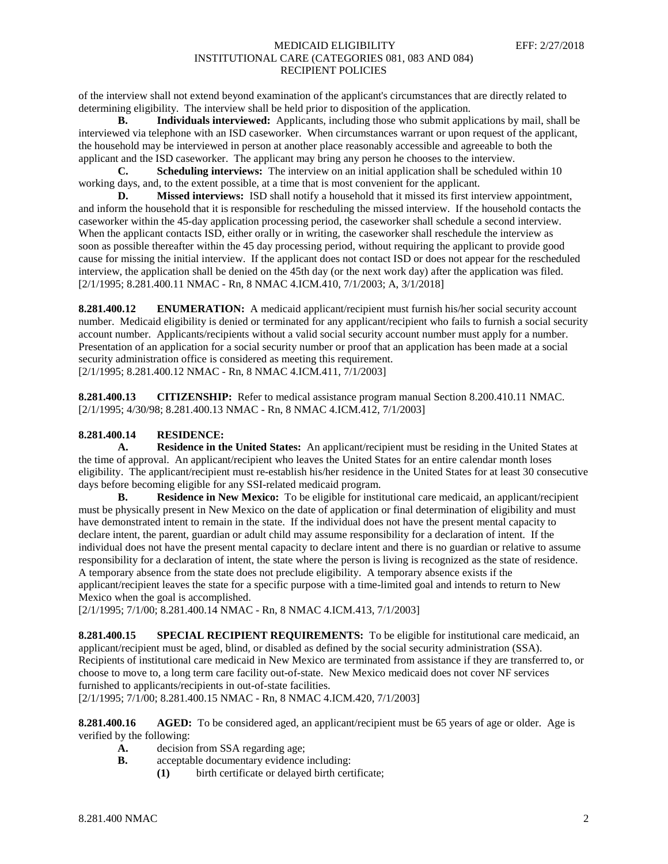of the interview shall not extend beyond examination of the applicant's circumstances that are directly related to determining eligibility. The interview shall be held prior to disposition of the application.

**B. Individuals interviewed:** Applicants, including those who submit applications by mail, shall be interviewed via telephone with an ISD caseworker. When circumstances warrant or upon request of the applicant, the household may be interviewed in person at another place reasonably accessible and agreeable to both the applicant and the ISD caseworker. The applicant may bring any person he chooses to the interview.

**C. Scheduling interviews:** The interview on an initial application shall be scheduled within 10 working days, and, to the extent possible, at a time that is most convenient for the applicant.

**D. Missed interviews:** ISD shall notify a household that it missed its first interview appointment, and inform the household that it is responsible for rescheduling the missed interview. If the household contacts the caseworker within the 45-day application processing period, the caseworker shall schedule a second interview. When the applicant contacts ISD, either orally or in writing, the caseworker shall reschedule the interview as soon as possible thereafter within the 45 day processing period, without requiring the applicant to provide good cause for missing the initial interview. If the applicant does not contact ISD or does not appear for the rescheduled interview, the application shall be denied on the 45th day (or the next work day) after the application was filed. [2/1/1995; 8.281.400.11 NMAC - Rn, 8 NMAC 4.ICM.410, 7/1/2003; A, 3/1/2018]

**8.281.400.12 ENUMERATION:** A medicaid applicant/recipient must furnish his/her social security account number. Medicaid eligibility is denied or terminated for any applicant/recipient who fails to furnish a social security account number. Applicants/recipients without a valid social security account number must apply for a number. Presentation of an application for a social security number or proof that an application has been made at a social security administration office is considered as meeting this requirement. [2/1/1995; 8.281.400.12 NMAC - Rn, 8 NMAC 4.ICM.411, 7/1/2003]

**8.281.400.13 CITIZENSHIP:** Refer to medical assistance program manual Section 8.200.410.11 NMAC. [2/1/1995; 4/30/98; 8.281.400.13 NMAC - Rn, 8 NMAC 4.ICM.412, 7/1/2003]

## **8.281.400.14 RESIDENCE:**

**A. Residence in the United States:** An applicant/recipient must be residing in the United States at the time of approval. An applicant/recipient who leaves the United States for an entire calendar month loses eligibility. The applicant/recipient must re-establish his/her residence in the United States for at least 30 consecutive days before becoming eligible for any SSI-related medicaid program.

**B. Residence in New Mexico:** To be eligible for institutional care medicaid, an applicant/recipient must be physically present in New Mexico on the date of application or final determination of eligibility and must have demonstrated intent to remain in the state. If the individual does not have the present mental capacity to declare intent, the parent, guardian or adult child may assume responsibility for a declaration of intent. If the individual does not have the present mental capacity to declare intent and there is no guardian or relative to assume responsibility for a declaration of intent, the state where the person is living is recognized as the state of residence. A temporary absence from the state does not preclude eligibility. A temporary absence exists if the applicant/recipient leaves the state for a specific purpose with a time-limited goal and intends to return to New Mexico when the goal is accomplished.

[2/1/1995; 7/1/00; 8.281.400.14 NMAC - Rn, 8 NMAC 4.ICM.413, 7/1/2003]

**8.281.400.15 SPECIAL RECIPIENT REQUIREMENTS:** To be eligible for institutional care medicaid, an applicant/recipient must be aged, blind, or disabled as defined by the social security administration (SSA). Recipients of institutional care medicaid in New Mexico are terminated from assistance if they are transferred to, or choose to move to, a long term care facility out-of-state. New Mexico medicaid does not cover NF services furnished to applicants/recipients in out-of-state facilities.

[2/1/1995; 7/1/00; 8.281.400.15 NMAC - Rn, 8 NMAC 4.ICM.420, 7/1/2003]

**8.281.400.16 AGED:** To be considered aged, an applicant/recipient must be 65 years of age or older. Age is verified by the following:

- **A.** decision from SSA regarding age;
- **B.** acceptable documentary evidence including:
	- **(1)** birth certificate or delayed birth certificate;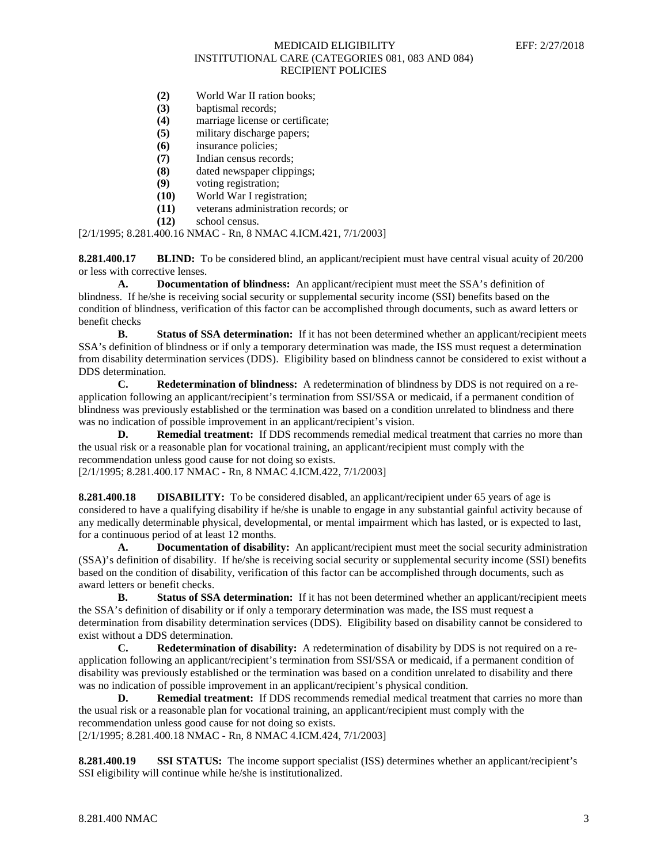- **(2)** World War II ration books;
- **(3)** baptismal records;
- **(4)** marriage license or certificate;
- **(5)** military discharge papers;
- **(6)** insurance policies;
- **(7)** Indian census records;
- **(8)** dated newspaper clippings;
- **(9)** voting registration;
- **(10)** World War I registration;
- **(11)** veterans administration records; or
- **(12)** school census.

[2/1/1995; 8.281.400.16 NMAC - Rn, 8 NMAC 4.ICM.421, 7/1/2003]

**8.281.400.17 BLIND:** To be considered blind, an applicant/recipient must have central visual acuity of 20/200 or less with corrective lenses.

**A. Documentation of blindness:** An applicant/recipient must meet the SSA's definition of blindness. If he/she is receiving social security or supplemental security income (SSI) benefits based on the condition of blindness, verification of this factor can be accomplished through documents, such as award letters or benefit checks

**B. Status of SSA determination:** If it has not been determined whether an applicant/recipient meets SSA's definition of blindness or if only a temporary determination was made, the ISS must request a determination from disability determination services (DDS). Eligibility based on blindness cannot be considered to exist without a DDS determination.

**C. Redetermination of blindness:** A redetermination of blindness by DDS is not required on a reapplication following an applicant/recipient's termination from SSI/SSA or medicaid, if a permanent condition of blindness was previously established or the termination was based on a condition unrelated to blindness and there was no indication of possible improvement in an applicant/recipient's vision.

**D. Remedial treatment:** If DDS recommends remedial medical treatment that carries no more than the usual risk or a reasonable plan for vocational training, an applicant/recipient must comply with the recommendation unless good cause for not doing so exists.

[2/1/1995; 8.281.400.17 NMAC - Rn, 8 NMAC 4.ICM.422, 7/1/2003]

**8.281.400.18 DISABILITY:** To be considered disabled, an applicant/recipient under 65 years of age is considered to have a qualifying disability if he/she is unable to engage in any substantial gainful activity because of any medically determinable physical, developmental, or mental impairment which has lasted, or is expected to last, for a continuous period of at least 12 months.

**A. Documentation of disability:** An applicant/recipient must meet the social security administration (SSA)'s definition of disability. If he/she is receiving social security or supplemental security income (SSI) benefits based on the condition of disability, verification of this factor can be accomplished through documents, such as award letters or benefit checks.

**B. Status of SSA determination:** If it has not been determined whether an applicant/recipient meets the SSA's definition of disability or if only a temporary determination was made, the ISS must request a determination from disability determination services (DDS). Eligibility based on disability cannot be considered to exist without a DDS determination.

**C. Redetermination of disability:** A redetermination of disability by DDS is not required on a reapplication following an applicant/recipient's termination from SSI/SSA or medicaid, if a permanent condition of disability was previously established or the termination was based on a condition unrelated to disability and there was no indication of possible improvement in an applicant/recipient's physical condition.

**D. Remedial treatment:** If DDS recommends remedial medical treatment that carries no more than the usual risk or a reasonable plan for vocational training, an applicant/recipient must comply with the recommendation unless good cause for not doing so exists. [2/1/1995; 8.281.400.18 NMAC - Rn, 8 NMAC 4.ICM.424, 7/1/2003]

**8.281.400.19 SSI STATUS:** The income support specialist (ISS) determines whether an applicant/recipient's SSI eligibility will continue while he/she is institutionalized.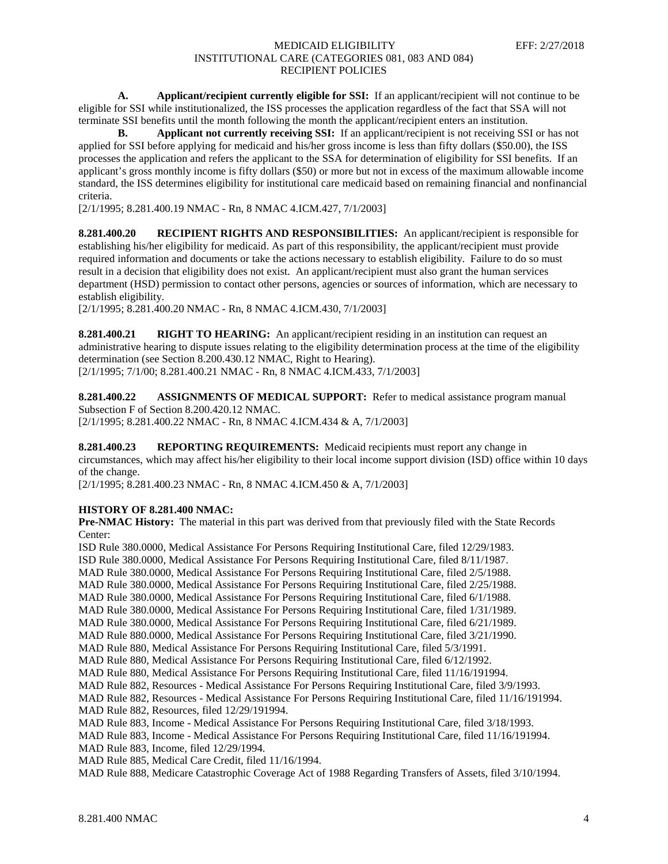**A. Applicant/recipient currently eligible for SSI:** If an applicant/recipient will not continue to be eligible for SSI while institutionalized, the ISS processes the application regardless of the fact that SSA will not terminate SSI benefits until the month following the month the applicant/recipient enters an institution.

**B. Applicant not currently receiving SSI:** If an applicant/recipient is not receiving SSI or has not applied for SSI before applying for medicaid and his/her gross income is less than fifty dollars (\$50.00), the ISS processes the application and refers the applicant to the SSA for determination of eligibility for SSI benefits. If an applicant's gross monthly income is fifty dollars (\$50) or more but not in excess of the maximum allowable income standard, the ISS determines eligibility for institutional care medicaid based on remaining financial and nonfinancial criteria.

[2/1/1995; 8.281.400.19 NMAC - Rn, 8 NMAC 4.ICM.427, 7/1/2003]

**8.281.400.20 RECIPIENT RIGHTS AND RESPONSIBILITIES:** An applicant/recipient is responsible for establishing his/her eligibility for medicaid. As part of this responsibility, the applicant/recipient must provide required information and documents or take the actions necessary to establish eligibility. Failure to do so must result in a decision that eligibility does not exist. An applicant/recipient must also grant the human services department (HSD) permission to contact other persons, agencies or sources of information, which are necessary to establish eligibility.

[2/1/1995; 8.281.400.20 NMAC - Rn, 8 NMAC 4.ICM.430, 7/1/2003]

**8.281.400.21 RIGHT TO HEARING:** An applicant/recipient residing in an institution can request an administrative hearing to dispute issues relating to the eligibility determination process at the time of the eligibility determination (see Section 8.200.430.12 NMAC, Right to Hearing).

[2/1/1995; 7/1/00; 8.281.400.21 NMAC - Rn, 8 NMAC 4.ICM.433, 7/1/2003]

**8.281.400.22 ASSIGNMENTS OF MEDICAL SUPPORT:** Refer to medical assistance program manual Subsection F of Section 8.200.420.12 NMAC. [2/1/1995; 8.281.400.22 NMAC - Rn, 8 NMAC 4.ICM.434 & A, 7/1/2003]

**8.281.400.23 REPORTING REQUIREMENTS:** Medicaid recipients must report any change in circumstances, which may affect his/her eligibility to their local income support division (ISD) office within 10 days of the change.

[2/1/1995; 8.281.400.23 NMAC - Rn, 8 NMAC 4.ICM.450 & A, 7/1/2003]

## **HISTORY OF 8.281.400 NMAC:**

**Pre-NMAC History:** The material in this part was derived from that previously filed with the State Records Center:

ISD Rule 380.0000, Medical Assistance For Persons Requiring Institutional Care, filed 12/29/1983. ISD Rule 380.0000, Medical Assistance For Persons Requiring Institutional Care, filed 8/11/1987. MAD Rule 380.0000, Medical Assistance For Persons Requiring Institutional Care, filed 2/5/1988. MAD Rule 380.0000, Medical Assistance For Persons Requiring Institutional Care, filed 2/25/1988. MAD Rule 380.0000, Medical Assistance For Persons Requiring Institutional Care, filed 6/1/1988. MAD Rule 380.0000, Medical Assistance For Persons Requiring Institutional Care, filed 1/31/1989. MAD Rule 380.0000, Medical Assistance For Persons Requiring Institutional Care, filed 6/21/1989. MAD Rule 880.0000, Medical Assistance For Persons Requiring Institutional Care, filed 3/21/1990. MAD Rule 880, Medical Assistance For Persons Requiring Institutional Care, filed 5/3/1991. MAD Rule 880, Medical Assistance For Persons Requiring Institutional Care, filed 6/12/1992. MAD Rule 880, Medical Assistance For Persons Requiring Institutional Care, filed 11/16/191994. MAD Rule 882, Resources - Medical Assistance For Persons Requiring Institutional Care, filed 3/9/1993. MAD Rule 882, Resources - Medical Assistance For Persons Requiring Institutional Care, filed 11/16/191994. MAD Rule 882, Resources, filed 12/29/191994. MAD Rule 883, Income - Medical Assistance For Persons Requiring Institutional Care, filed 3/18/1993. MAD Rule 883, Income - Medical Assistance For Persons Requiring Institutional Care, filed 11/16/191994. MAD Rule 883, Income, filed 12/29/1994. MAD Rule 885, Medical Care Credit, filed 11/16/1994.

MAD Rule 888, Medicare Catastrophic Coverage Act of 1988 Regarding Transfers of Assets, filed 3/10/1994.